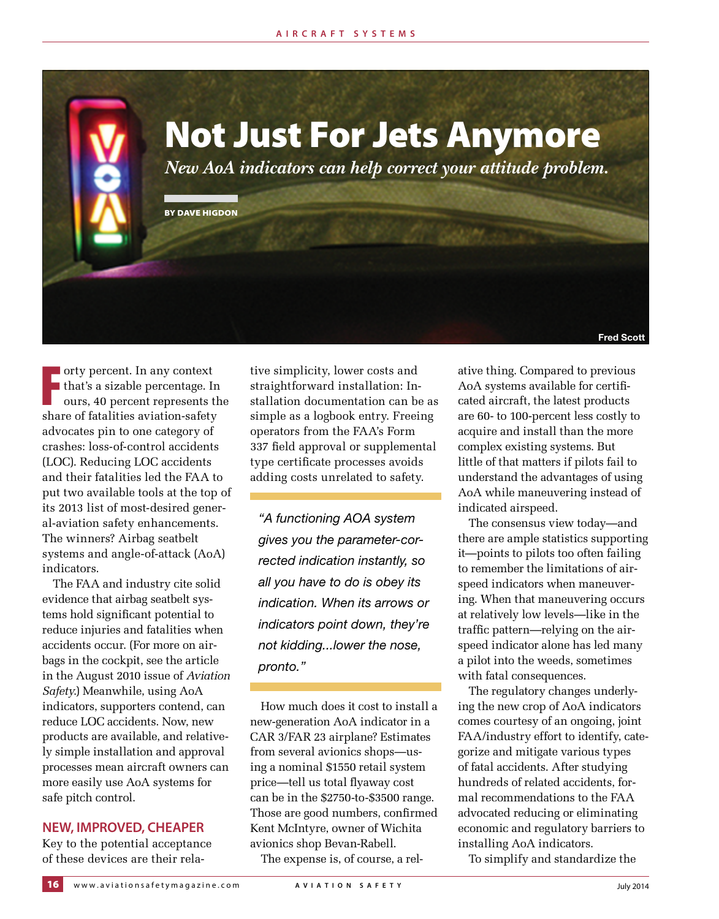

orty percent. In any context<br>that's a sizable percentage. In<br>ours, 40 percent represents th<br>share of fatalities aviation-safety orty percent. In any context that's a sizable percentage. In ours, 40 percent represents the advocates pin to one category of crashes: loss-of-control accidents (LOC). Reducing LOC accidents and their fatalities led the FAA to put two available tools at the top of its 2013 list of most-desired general-aviation safety enhancements. The winners? Airbag seatbelt systems and angle-of-attack (AoA) indicators.

The FAA and industry cite solid evidence that airbag seatbelt systems hold significant potential to reduce injuries and fatalities when accidents occur. (For more on airbags in the cockpit, see the article in the August 2010 issue of *Aviation Safety*.) Meanwhile, using AoA indicators, supporters contend, can reduce LOC accidents. Now, new products are available, and relatively simple installation and approval processes mean aircraft owners can more easily use AoA systems for safe pitch control.

## **NEW, IMPROVED, CHEAPER**

Key to the potential acceptance of these devices are their relative simplicity, lower costs and straightforward installation: Installation documentation can be as simple as a logbook entry. Freeing operators from the FAA's Form 337 field approval or supplemental type certificate processes avoids adding costs unrelated to safety.

*"A functioning AOA system gives you the parameter-corrected indication instantly, so all you have to do is obey its indication. When its arrows or indicators point down, they're not kidding...lower the nose, pronto."*

How much does it cost to install a new-generation AoA indicator in a CAR 3/FAR 23 airplane? Estimates from several avionics shops—using a nominal \$1550 retail system price—tell us total flyaway cost can be in the \$2750-to-\$3500 range. Those are good numbers, confirmed Kent McIntyre, owner of Wichita avionics shop Bevan-Rabell.

The expense is, of course, a rel-

ative thing. Compared to previous AoA systems available for certificated aircraft, the latest products are 60- to 100-percent less costly to acquire and install than the more complex existing systems. But little of that matters if pilots fail to understand the advantages of using AoA while maneuvering instead of indicated airspeed.

The consensus view today—and there are ample statistics supporting it—points to pilots too often failing to remember the limitations of airspeed indicators when maneuvering. When that maneuvering occurs at relatively low levels—like in the traffic pattern—relying on the airspeed indicator alone has led many a pilot into the weeds, sometimes with fatal consequences.

The regulatory changes underlying the new crop of AoA indicators comes courtesy of an ongoing, joint FAA/industry effort to identify, categorize and mitigate various types of fatal accidents. After studying hundreds of related accidents, formal recommendations to the FAA advocated reducing or eliminating economic and regulatory barriers to installing AoA indicators.

To simplify and standardize the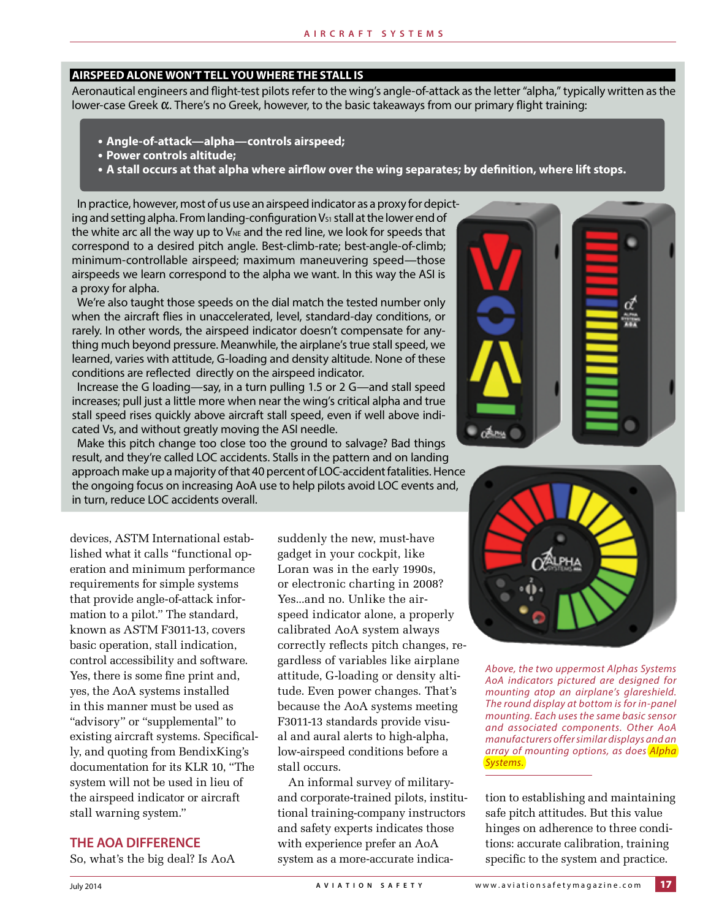### **AIRSPEED ALONE WON'T TELL YOU WHERE THE STALL IS**

Aeronautical engineers and fight-test pilots refer to the wing's angle-of-attack as the letter "alpha," typically written as the lower-case Greek  $\alpha$ . There's no Greek, however, to the basic takeaways from our primary flight training:

- **• Angle-of-attack—alpha—controls airspeed;**
- **• Power controls altitude;**
- **• A stall occurs at that alpha where airfow over the wing separates; by defnition, where lift stops.**

In practice, however, most of us use an airspeed indicator as a proxy for depicting and setting alpha. From landing-configuration V<sub>51</sub> stall at the lower end of the white arc all the way up to  $V_{\text{NE}}$  and the red line, we look for speeds that correspond to a desired pitch angle. Best-climb-rate; best-angle-of-climb; minimum-controllable airspeed; maximum maneuvering speed—those airspeeds we learn correspond to the alpha we want. In this way the ASI is a proxy for alpha.

We're also taught those speeds on the dial match the tested number only when the aircraft fies in unaccelerated, level, standard-day conditions, or rarely. In other words, the airspeed indicator doesn't compensate for anything much beyond pressure. Meanwhile, the airplane's true stall speed, we learned, varies with attitude, G-loading and density altitude. None of these conditions are refected directly on the airspeed indicator.

Increase the G loading—say, in a turn pulling 1.5 or 2 G—and stall speed increases; pull just a little more when near the wing's critical alpha and true stall speed rises quickly above aircraft stall speed, even if well above indicated Vs, and without greatly moving the ASI needle.

Make this pitch change too close too the ground to salvage? Bad things result, and they're called LOC accidents. Stalls in the pattern and on landing approach make up a majority of that 40 percent of LOC-accident fatalities. Hence the ongoing focus on increasing AoA use to help pilots avoid LOC events and, in turn, reduce LOC accidents overall.

devices, ASTM International established what it calls "functional operation and minimum performance requirements for simple systems that provide angle-of-attack information to a pilot." The standard, known as ASTM F3011-13, covers basic operation, stall indication, control accessibility and software. Yes, there is some fine print and, yes, the AoA systems installed in this manner must be used as "advisory" or "supplemental" to existing aircraft systems. Specifically, and quoting from BendixKing's documentation for its KLR 10, "The system will not be used in lieu of the airspeed indicator or aircraft stall warning system."

## **THE AOA DIFFERENCE**

So, what's the big deal? Is AoA

suddenly the new, must-have gadget in your cockpit, like Loran was in the early 1990s, or electronic charting in 2008? Yes...and no. Unlike the airspeed indicator alone, a properly calibrated AoA system always correctly reflects pitch changes, regardless of variables like airplane attitude, G-loading or density altitude. Even power changes. That's because the AoA systems meeting F3011-13 standards provide visual and aural alerts to high-alpha, low-airspeed conditions before a stall occurs.

An informal survey of militaryand corporate-trained pilots, institutional training-company instructors and safety experts indicates those with experience prefer an AoA system as a more-accurate indica-





Above, the two uppermost Alphas Systems AoA indicators pictured are designed for mounting atop an airplane's glareshield. The round display at bottom is for in-panel mounting. Each uses the same basic sensor and associated components. Other AoA manufacturers offer similar displays and an array of mounting options, as does Alpha Systems.

tion to establishing and maintaining safe pitch attitudes. But this value hinges on adherence to three conditions: accurate calibration, training specific to the system and practice.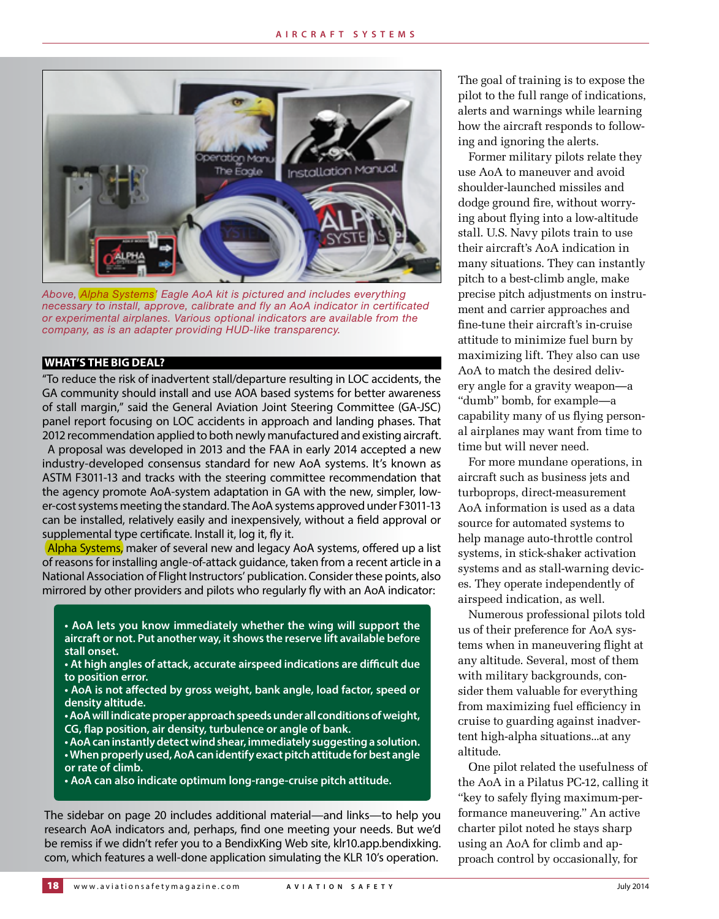

*Above, Alpha Systems' Eagle AoA kit is pictured and includes everything necessary to install, approve, calibrate and fly an AoA indicator in certificated or experimental airplanes. Various optional indicators are available from the company, as is an adapter providing HUD-like transparency.*

### **WHAT'S THE BIG DEAL?**

"To reduce the risk of inadvertent stall/departure resulting in LOC accidents, the GA community should install and use AOA based systems for better awareness of stall margin," said the General Aviation Joint Steering Committee (GA-JSC) panel report focusing on LOC accidents in approach and landing phases. That 2012 recommendation applied to both newly manufactured and existing aircraft.

A proposal was developed in 2013 and the FAA in early 2014 accepted a new industry-developed consensus standard for new AoA systems. It's known as ASTM F3011-13 and tracks with the steering committee recommendation that the agency promote AoA-system adaptation in GA with the new, simpler, lower-cost systems meeting the standard. The AoA systems approved under F3011-13 can be installed, relatively easily and inexpensively, without a feld approval or supplemental type certifcate. Install it, log it, fy it.

Alpha Systems, maker of several new and legacy AoA systems, offered up a list of reasons for installing angle-of-attack guidance, taken from a recent article in a National Association of Flight Instructors' publication. Consider these points, also mirrored by other providers and pilots who regularly fy with an AoA indicator:

- **AoA lets you know immediately whether the wing will support the aircraft or not. Put another way, it shows the reserve lift available before stall onset.**
- **At high angles of attack, accurate airspeed indications are difcult due to position error.**
- **AoA is not afected by gross weight, bank angle, load factor, speed or density altitude.**
- **AoA will indicate proper approach speeds under all conditions of weight, CG, fap position, air density, turbulence or angle of bank.**
- **AoA can instantly detect wind shear, immediately suggesting a solution. • When properly used, AoA can identify exact pitch attitude for best angle or rate of climb.**
- **AoA can also indicate optimum long-range-cruise pitch attitude.**

The sidebar on page 20 includes additional material—and links—to help you research AoA indicators and, perhaps, fnd one meeting your needs. But we'd be remiss if we didn't refer you to a BendixKing Web site, [klr10.app.bendixking.](http://klr10.app.bendixking.com/) [com,](http://klr10.app.bendixking.com/) which features a well-done application simulating the KLR 10's operation.

The goal of training is to expose the pilot to the full range of indications, alerts and warnings while learning how the aircraft responds to following and ignoring the alerts.

Former military pilots relate they use AoA to maneuver and avoid shoulder-launched missiles and dodge ground fire, without worrying about flying into a low-altitude stall. U.S. Navy pilots train to use their aircraft's AoA indication in many situations. They can instantly pitch to a best-climb angle, make precise pitch adjustments on instrument and carrier approaches and fine-tune their aircraft's in-cruise attitude to minimize fuel burn by maximizing lift. They also can use AoA to match the desired delivery angle for a gravity weapon—a "dumb" bomb, for example—a capability many of us flying personal airplanes may want from time to time but will never need.

For more mundane operations, in aircraft such as business jets and turboprops, direct-measurement AoA information is used as a data source for automated systems to help manage auto-throttle control systems, in stick-shaker activation systems and as stall-warning devices. They operate independently of airspeed indication, as well.

Numerous professional pilots told us of their preference for AoA systems when in maneuvering flight at any altitude. Several, most of them with military backgrounds, consider them valuable for everything from maximizing fuel efficiency in cruise to guarding against inadvertent high-alpha situations...at any altitude.

One pilot related the usefulness of the AoA in a Pilatus PC-12, calling it "key to safely flying maximum-performance maneuvering." An active charter pilot noted he stays sharp using an AoA for climb and approach control by occasionally, for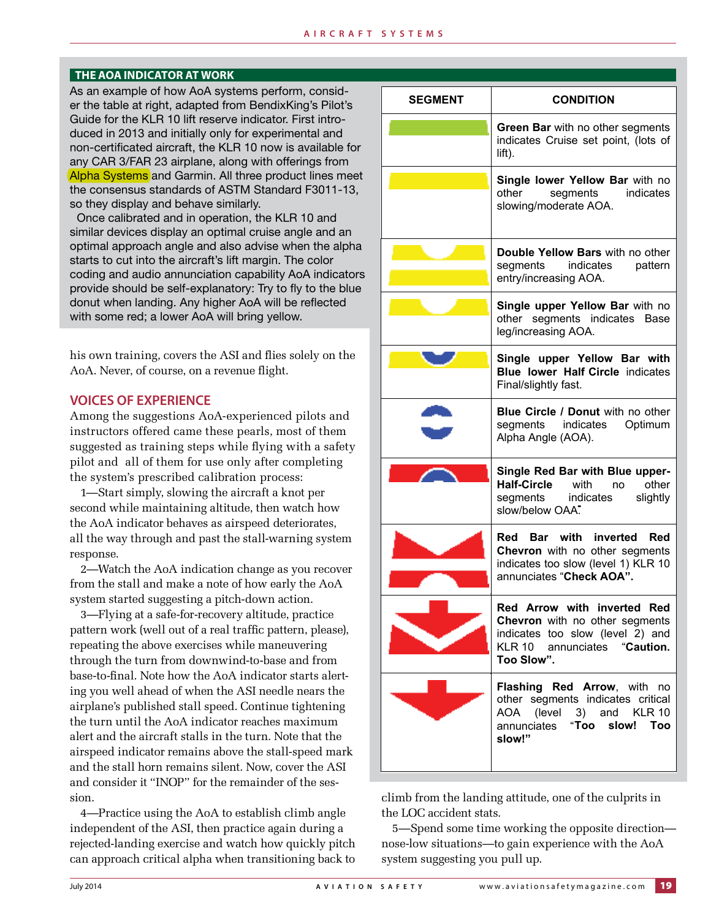#### **THE AOA INDICATOR AT WORK**

As an example of how AoA systems perform, consider the table at right, adapted from BendixKing's Pilot's Guide for the KLR 10 lift reserve indicator. First introduced in 2013 and initially only for experimental and non-certificated aircraft, the KLR 10 now is available for any CAR 3/FAR 23 airplane, along with offerings from Alpha Systems and Garmin. All three product lines meet the consensus standards of ASTM Standard F3011-13, so they display and behave similarly.

Once calibrated and in operation, the KLR 10 and similar devices display an optimal cruise angle and an optimal approach angle and also advise when the alpha starts to cut into the aircraft's lift margin. The color coding and audio annunciation capability AoA indicators provide should be self-explanatory: Try to fly to the blue donut when landing. Any higher AoA will be reflected with some red; a lower AoA will bring yellow.

his own training, covers the ASI and flies solely on the AoA. Never, of course, on a revenue flight.

### **VOICES OF EXPERIENCE**

Among the suggestions AoA-experienced pilots and instructors offered came these pearls, most of them suggested as training steps while flying with a safety pilot and all of them for use only after completing the system's prescribed calibration process:

1—Start simply, slowing the aircraft a knot per second while maintaining altitude, then watch how the AoA indicator behaves as airspeed deteriorates, all the way through and past the stall-warning system response.

2—Watch the AoA indication change as you recover from the stall and make a note of how early the AoA system started suggesting a pitch-down action.

3—Flying at a safe-for-recovery altitude, practice pattern work (well out of a real traffic pattern, please), repeating the above exercises while maneuvering through the turn from downwind-to-base and from base-to-final. Note how the AoA indicator starts alerting you well ahead of when the ASI needle nears the airplane's published stall speed. Continue tightening the turn until the AoA indicator reaches maximum alert and the aircraft stalls in the turn. Note that the airspeed indicator remains above the stall-speed mark and the stall horn remains silent. Now, cover the ASI and consider it "INOP" for the remainder of the session.

4—Practice using the AoA to establish climb angle independent of the ASI, then practice again during a rejected-landing exercise and watch how quickly pitch can approach critical alpha when transitioning back to

| <b>SEGMENT</b> | <b>CONDITION</b>                                                                                                                                |
|----------------|-------------------------------------------------------------------------------------------------------------------------------------------------|
|                | Green Bar with no other segments<br>indicates Cruise set point, (lots of<br>lift).                                                              |
|                | Single lower Yellow Bar with no<br>other<br>segments<br>indicates<br>slowing/moderate AOA.                                                      |
|                | Double Yellow Bars with no other<br>indicates<br>segments<br>pattern<br>entry/increasing AOA.                                                   |
|                | Single upper Yellow Bar with no<br>other segments indicates Base<br>leg/increasing AOA.                                                         |
|                | Single upper Yellow Bar with<br><b>Blue lower Half Circle indicates</b><br>Final/slightly fast.                                                 |
|                | <b>Blue Circle / Donut with no other</b><br>segments indicates Optimum<br>Alpha Angle (AOA).                                                    |
|                | Single Red Bar with Blue upper-<br><b>Half-Circle</b><br>with<br>other<br>no l<br>segments indicates<br>slightly<br>slow/below OAA.             |
|                | Red Bar with inverted Red<br>Chevron with no other segments<br>indicates too slow (level 1) KLR 10<br>annunciates "Check AOA".                  |
|                | Red Arrow with inverted Red<br>Chevron with no other segments<br>indicates too slow (level 2) and<br>KLR 10 annunciates "Caution.<br>Too Slow". |
|                | Flashing Red Arrow, with<br>no<br>other segments indicates critical<br>and KLR 10<br>AOA (level 3)<br>"Too slow! Too<br>annunciates<br>slow!"   |

climb from the landing attitude, one of the culprits in the LOC accident stats.

5—Spend some time working the opposite direction nose-low situations—to gain experience with the AoA system suggesting you pull up.